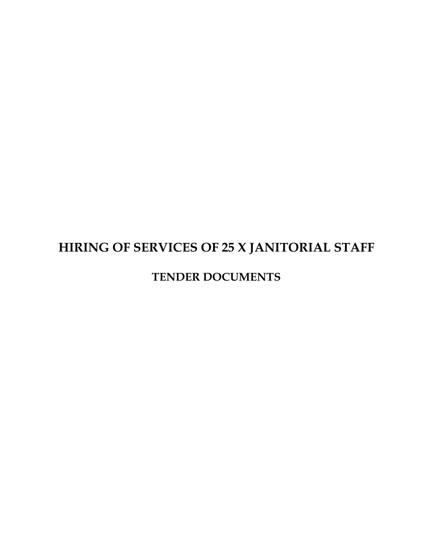# **HIRING OF SERVICES OF 25 X JANITORIAL STAFF**

### **TENDER DOCUMENTS**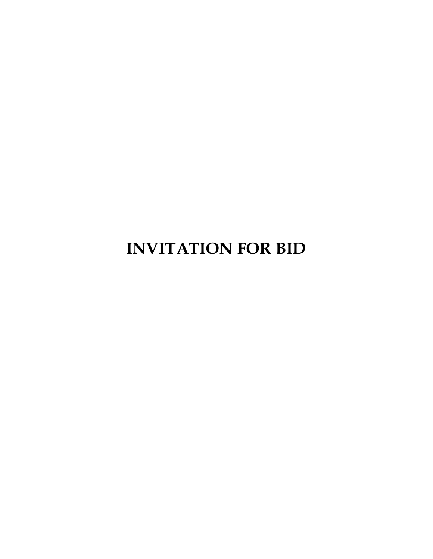**INVITATION FOR BID**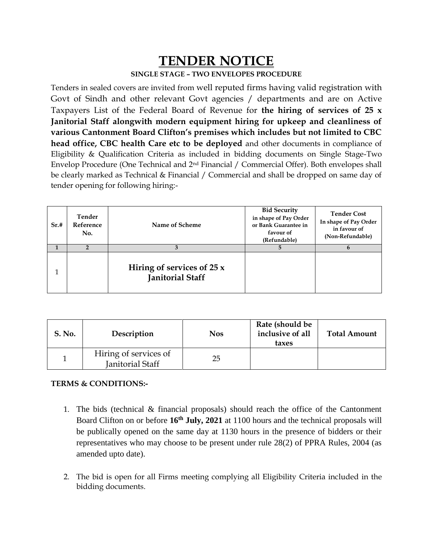## **TENDER NOTICE**

#### **SINGLE STAGE – TWO ENVELOPES PROCEDURE**

Tenders in sealed covers are invited from well reputed firms having valid registration with Govt of Sindh and other relevant Govt agencies / departments and are on Active Taxpayers List of the Federal Board of Revenue for **the hiring of services of 25 x Janitorial Staff alongwith modern equipment hiring for upkeep and cleanliness of various Cantonment Board Clifton's premises which includes but not limited to CBC head office, CBC health Care etc to be deployed** and other documents in compliance of Eligibility & Qualification Criteria as included in bidding documents on Single Stage-Two Envelop Procedure (One Technical and 2nd Financial / Commercial Offer). Both envelopes shall be clearly marked as Technical & Financial / Commercial and shall be dropped on same day of tender opening for following hiring:-

| Sr.# | Tender<br>Reference<br>No. | Name of Scheme                                         | <b>Bid Security</b><br>in shape of Pay Order<br>or Bank Guarantee in<br>favour of<br>(Refundable) | <b>Tender Cost</b><br>In shape of Pay Order<br>in favour of<br>(Non-Refundable) |
|------|----------------------------|--------------------------------------------------------|---------------------------------------------------------------------------------------------------|---------------------------------------------------------------------------------|
|      |                            |                                                        |                                                                                                   |                                                                                 |
|      |                            | Hiring of services of $25x$<br><b>Janitorial Staff</b> |                                                                                                   |                                                                                 |

| <b>S. No.</b> | Description                               | <b>Nos</b> | Rate (should be<br>inclusive of all<br>taxes | <b>Total Amount</b> |
|---------------|-------------------------------------------|------------|----------------------------------------------|---------------------|
|               | Hiring of services of<br>Janitorial Staff | 25         |                                              |                     |

#### **TERMS & CONDITIONS:-**

- 1. The bids (technical & financial proposals) should reach the office of the Cantonment Board Clifton on or before **16th July, 2021** at 1100 hours and the technical proposals will be publically opened on the same day at 1130 hours in the presence of bidders or their representatives who may choose to be present under rule 28(2) of PPRA Rules, 2004 (as amended upto date).
- 2. The bid is open for all Firms meeting complying all Eligibility Criteria included in the bidding documents.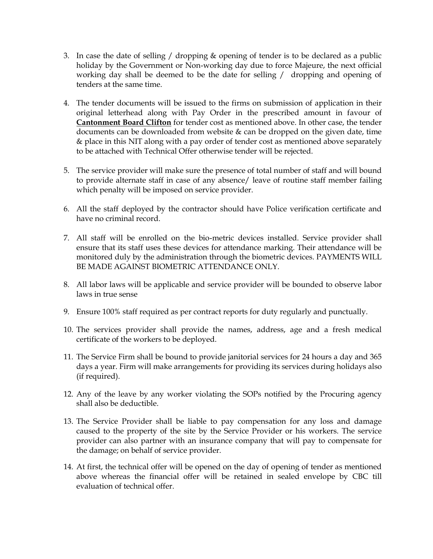- 3. In case the date of selling / dropping & opening of tender is to be declared as a public holiday by the Government or Non-working day due to force Majeure, the next official working day shall be deemed to be the date for selling / dropping and opening of tenders at the same time.
- 4. The tender documents will be issued to the firms on submission of application in their original letterhead along with Pay Order in the prescribed amount in favour of **Cantonment Board Clifton** for tender cost as mentioned above. In other case, the tender documents can be downloaded from website & can be dropped on the given date, time & place in this NIT along with a pay order of tender cost as mentioned above separately to be attached with Technical Offer otherwise tender will be rejected.
- 5. The service provider will make sure the presence of total number of staff and will bound to provide alternate staff in case of any absence/ leave of routine staff member failing which penalty will be imposed on service provider.
- 6. All the staff deployed by the contractor should have Police verification certificate and have no criminal record.
- 7. All staff will be enrolled on the bio-metric devices installed. Service provider shall ensure that its staff uses these devices for attendance marking. Their attendance will be monitored duly by the administration through the biometric devices. PAYMENTS WILL BE MADE AGAINST BIOMETRIC ATTENDANCE ONLY.
- 8. All labor laws will be applicable and service provider will be bounded to observe labor laws in true sense
- 9. Ensure 100% staff required as per contract reports for duty regularly and punctually.
- 10. The services provider shall provide the names, address, age and a fresh medical certificate of the workers to be deployed.
- 11. The Service Firm shall be bound to provide janitorial services for 24 hours a day and 365 days a year. Firm will make arrangements for providing its services during holidays also (if required).
- 12. Any of the leave by any worker violating the SOPs notified by the Procuring agency shall also be deductible.
- 13. The Service Provider shall be liable to pay compensation for any loss and damage caused to the property of the site by the Service Provider or his workers. The service provider can also partner with an insurance company that will pay to compensate for the damage; on behalf of service provider.
- 14. At first, the technical offer will be opened on the day of opening of tender as mentioned above whereas the financial offer will be retained in sealed envelope by CBC till evaluation of technical offer.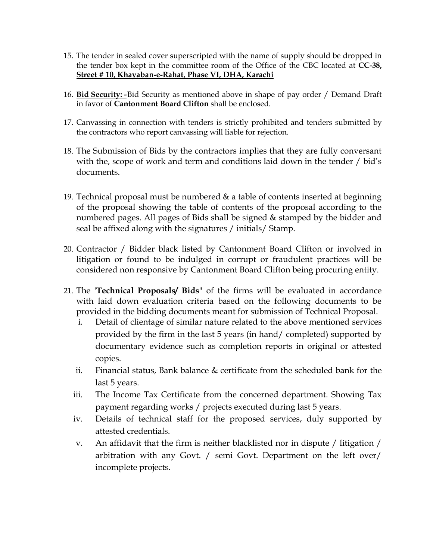- 15. The tender in sealed cover superscripted with the name of supply should be dropped in the tender box kept in the committee room of the Office of the CBC located at **CC-38, Street # 10, Khayaban-e-Rahat, Phase VI, DHA, Karachi**
- 16. **Bid Security: -**Bid Security as mentioned above in shape of pay order / Demand Draft in favor of **Cantonment Board Clifton** shall be enclosed.
- 17. Canvassing in connection with tenders is strictly prohibited and tenders submitted by the contractors who report canvassing will liable for rejection.
- 18. The Submission of Bids by the contractors implies that they are fully conversant with the, scope of work and term and conditions laid down in the tender / bid's documents.
- 19. Technical proposal must be numbered & a table of contents inserted at beginning of the proposal showing the table of contents of the proposal according to the numbered pages. All pages of Bids shall be signed & stamped by the bidder and seal be affixed along with the signatures / initials/ Stamp.
- 20. Contractor / Bidder black listed by Cantonment Board Clifton or involved in litigation or found to be indulged in corrupt or fraudulent practices will be considered non responsive by Cantonment Board Clifton being procuring entity.
- 21. The '**Technical Proposals/ Bids**" of the firms will be evaluated in accordance with laid down evaluation criteria based on the following documents to be provided in the bidding documents meant for submission of Technical Proposal.
	- i. Detail of clientage of similar nature related to the above mentioned services provided by the firm in the last 5 years (in hand/ completed) supported by documentary evidence such as completion reports in original or attested copies.
	- ii. Financial status, Bank balance & certificate from the scheduled bank for the last 5 years.
	- iii. The Income Tax Certificate from the concerned department. Showing Tax payment regarding works / projects executed during last 5 years.
	- iv. Details of technical staff for the proposed services, duly supported by attested credentials.
	- v. An affidavit that the firm is neither blacklisted nor in dispute / litigation / arbitration with any Govt. / semi Govt. Department on the left over/ incomplete projects.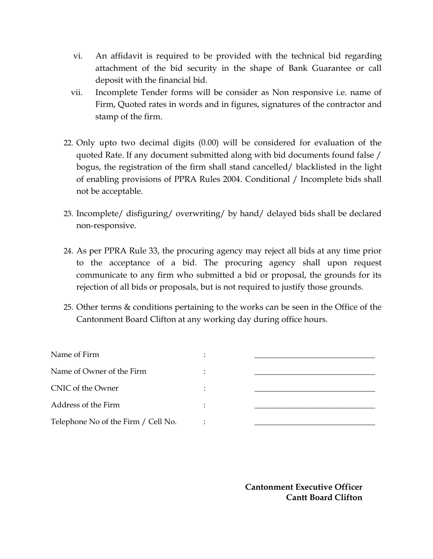- vi. An affidavit is required to be provided with the technical bid regarding attachment of the bid security in the shape of Bank Guarantee or call deposit with the financial bid.
- vii. Incomplete Tender forms will be consider as Non responsive i.e. name of Firm, Quoted rates in words and in figures, signatures of the contractor and stamp of the firm.
- 22. Only upto two decimal digits (0.00) will be considered for evaluation of the quoted Rate. If any document submitted along with bid documents found false / bogus, the registration of the firm shall stand cancelled/ blacklisted in the light of enabling provisions of PPRA Rules 2004. Conditional / Incomplete bids shall not be acceptable.
- 23. Incomplete/ disfiguring/ overwriting/ by hand/ delayed bids shall be declared non-responsive.
- 24. As per PPRA Rule 33, the procuring agency may reject all bids at any time prior to the acceptance of a bid. The procuring agency shall upon request communicate to any firm who submitted a bid or proposal, the grounds for its rejection of all bids or proposals, but is not required to justify those grounds.
- 25. Other terms & conditions pertaining to the works can be seen in the Office of the Cantonment Board Clifton at any working day during office hours.

| Name of Firm                        |  |  |
|-------------------------------------|--|--|
| Name of Owner of the Firm           |  |  |
| CNIC of the Owner                   |  |  |
| Address of the Firm                 |  |  |
| Telephone No of the Firm / Cell No. |  |  |

**Cantonment Executive Officer Cantt Board Clifton**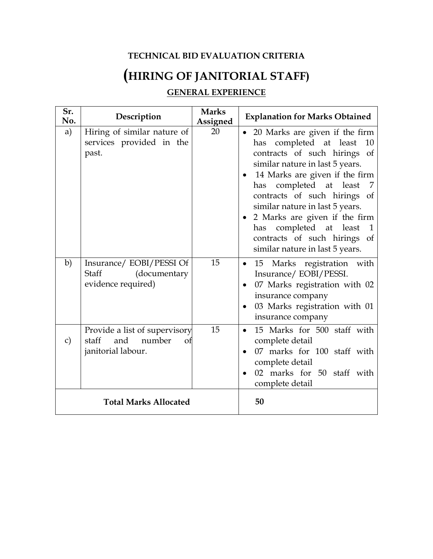#### **TECHNICAL BID EVALUATION CRITERIA**

# **(HIRING OF JANITORIAL STAFF)**

### **GENERAL EXPERIENCE**

| Sr.<br>No.                   | Description                                                                      | <b>Marks</b><br>Assigned | <b>Explanation for Marks Obtained</b>                                                                                                                                                                                                                                                                                                                                                                                      |
|------------------------------|----------------------------------------------------------------------------------|--------------------------|----------------------------------------------------------------------------------------------------------------------------------------------------------------------------------------------------------------------------------------------------------------------------------------------------------------------------------------------------------------------------------------------------------------------------|
| a)                           | Hiring of similar nature of<br>services provided in the<br>past.                 | 20                       | 20 Marks are given if the firm<br>$\bullet$<br>has completed at least<br>10<br>contracts of such hirings of<br>similar nature in last 5 years.<br>14 Marks are given if the firm<br>$\bullet$<br>has completed at least<br>contracts of such hirings of<br>similar nature in last 5 years.<br>• 2 Marks are given if the firm<br>has completed at least<br>contracts of such hirings of<br>similar nature in last 5 years. |
| b)                           | Insurance/ EOBI/PESSI Of<br>Staff<br>(documentary<br>evidence required)          | 15                       | Marks registration with<br>15<br>$\bullet$<br>Insurance/EOBI/PESSI.<br>07 Marks registration with 02<br>insurance company<br>03 Marks registration with 01<br>$\bullet$<br>insurance company                                                                                                                                                                                                                               |
| $\mathbf{C}$                 | Provide a list of supervisory<br>and number<br>staff<br>of<br>janitorial labour. | 15                       | 15 Marks for 500 staff with<br>$\bullet$<br>complete detail<br>07 marks for 100 staff with<br>$\bullet$<br>complete detail<br>02 marks for 50 staff with<br>complete detail                                                                                                                                                                                                                                                |
| <b>Total Marks Allocated</b> |                                                                                  |                          | 50                                                                                                                                                                                                                                                                                                                                                                                                                         |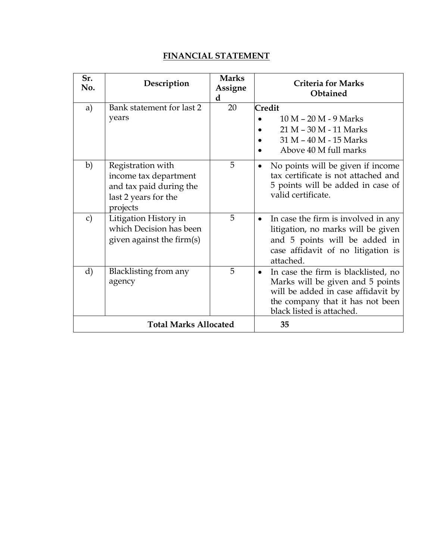#### **FINANCIAL STATEMENT**

| Sr.<br>No.                   | Description                                                                                               | <b>Marks</b><br>Assigne<br>d | <b>Criteria for Marks</b><br>Obtained                                                                                                                                          |
|------------------------------|-----------------------------------------------------------------------------------------------------------|------------------------------|--------------------------------------------------------------------------------------------------------------------------------------------------------------------------------|
| a)                           | Bank statement for last 2<br>years                                                                        | 20                           | Credit<br>10 M - 20 M - 9 Marks<br>21 M - 30 M - 11 Marks<br>31 M - 40 M - 15 Marks<br>Above 40 M full marks                                                                   |
| b)                           | Registration with<br>income tax department<br>and tax paid during the<br>last 2 years for the<br>projects | 5                            | No points will be given if income<br>$\bullet$<br>tax certificate is not attached and<br>5 points will be added in case of<br>valid certificate.                               |
| $\mathbf{C}$                 | Litigation History in<br>which Decision has been<br>given against the firm(s)                             | 5                            | In case the firm is involved in any<br>$\bullet$<br>litigation, no marks will be given<br>and 5 points will be added in<br>case affidavit of no litigation is<br>attached.     |
| d)                           | Blacklisting from any<br>agency                                                                           | 5                            | In case the firm is blacklisted, no<br>Marks will be given and 5 points<br>will be added in case affidavit by<br>the company that it has not been<br>black listed is attached. |
| <b>Total Marks Allocated</b> |                                                                                                           |                              | 35                                                                                                                                                                             |